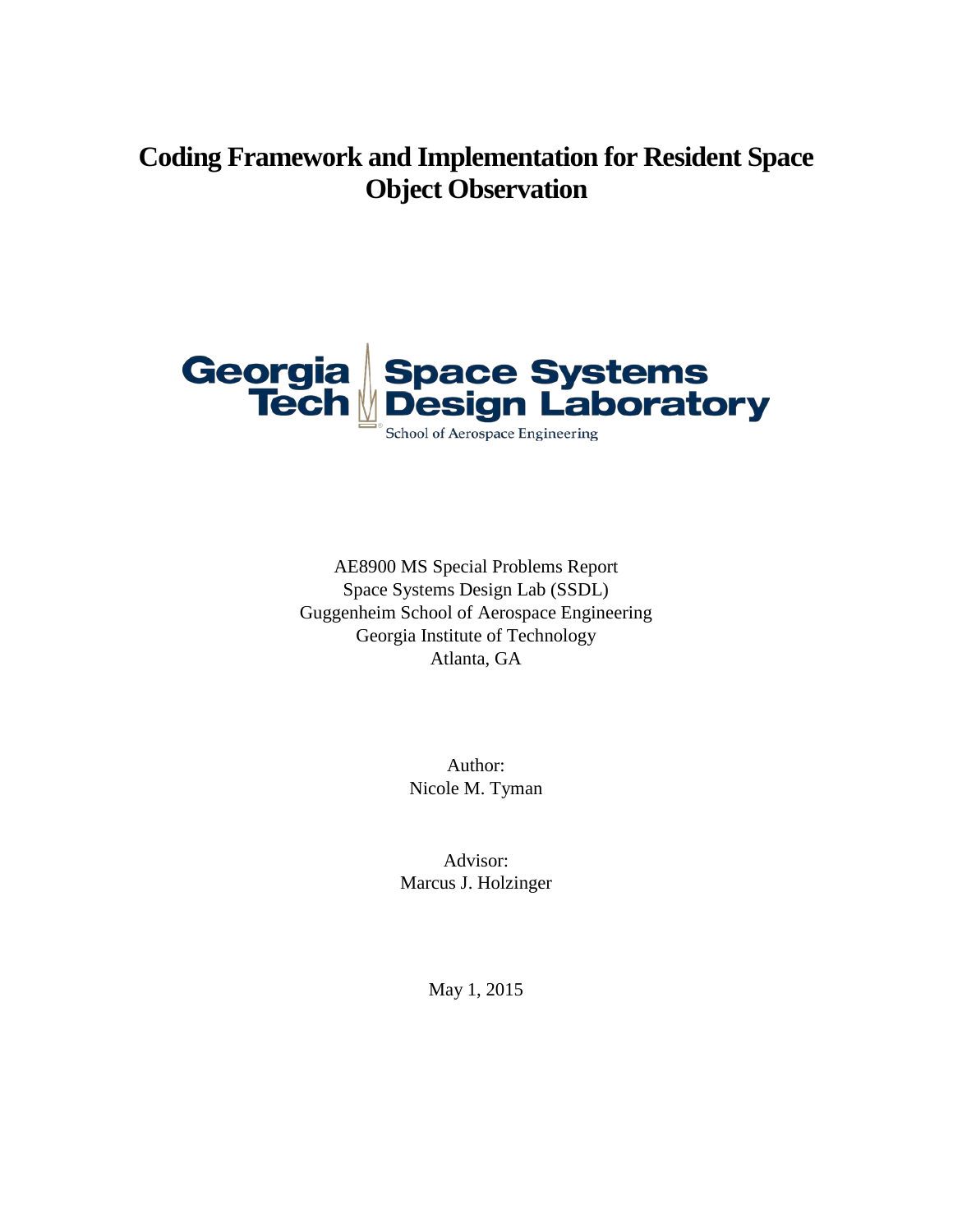# **Coding Framework and Implementation for Resident Space Object Observation**



AE8900 MS Special Problems Report Space Systems Design Lab (SSDL) Guggenheim School of Aerospace Engineering Georgia Institute of Technology Atlanta, GA

> Author: Nicole M. Tyman

Advisor: Marcus J. Holzinger

May 1, 2015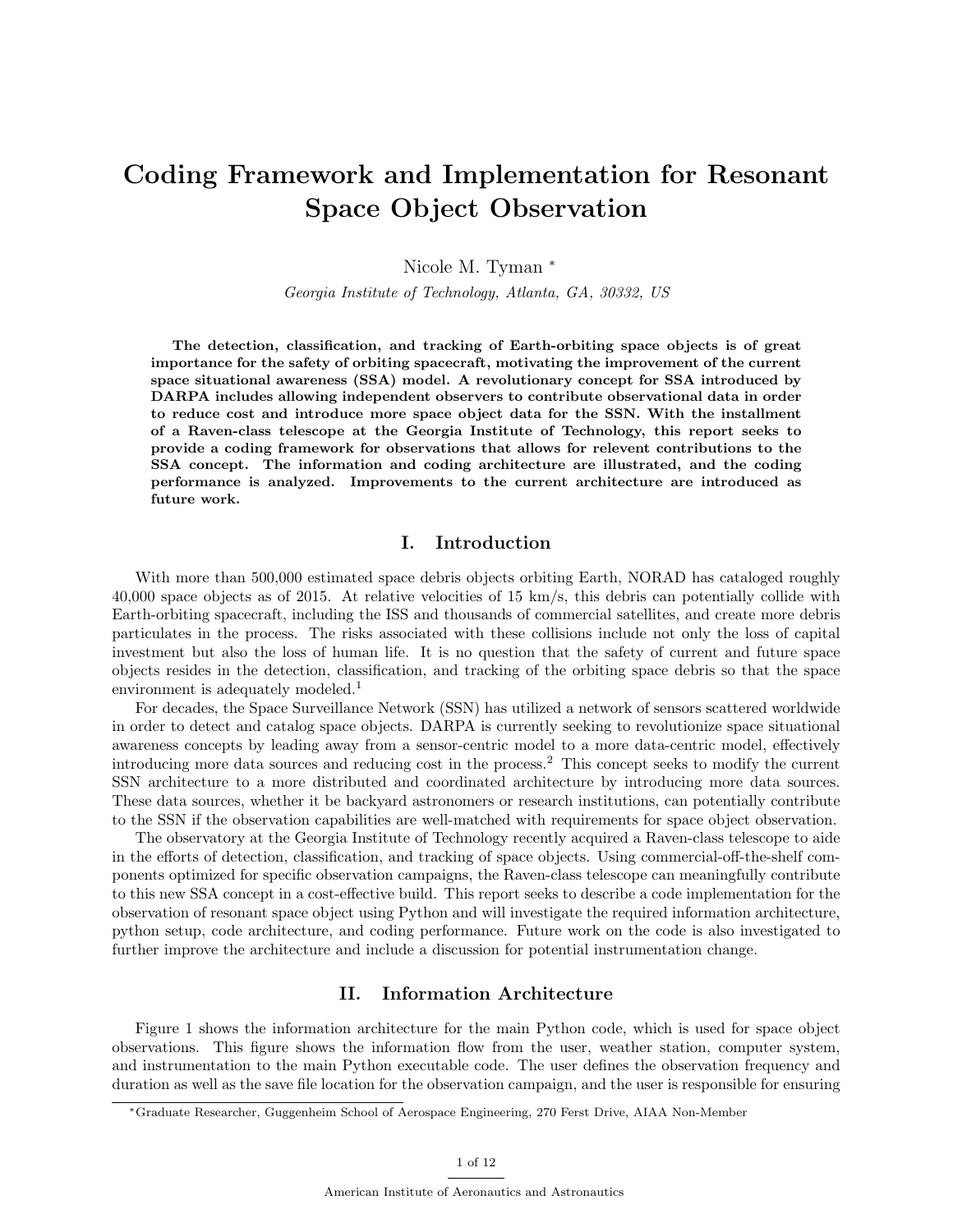# Coding Framework and Implementation for Resonant Space Object Observation

Nicole M. Tyman <sup>∗</sup>

Georgia Institute of Technology, Atlanta, GA, 30332, US

The detection, classification, and tracking of Earth-orbiting space objects is of great importance for the safety of orbiting spacecraft, motivating the improvement of the current space situational awareness (SSA) model. A revolutionary concept for SSA introduced by DARPA includes allowing independent observers to contribute observational data in order to reduce cost and introduce more space object data for the SSN. With the installment of a Raven-class telescope at the Georgia Institute of Technology, this report seeks to provide a coding framework for observations that allows for relevent contributions to the SSA concept. The information and coding architecture are illustrated, and the coding performance is analyzed. Improvements to the current architecture are introduced as future work.

#### I. Introduction

With more than 500,000 estimated space debris objects orbiting Earth, NORAD has cataloged roughly 40,000 space objects as of 2015. At relative velocities of 15 km/s, this debris can potentially collide with Earth-orbiting spacecraft, including the ISS and thousands of commercial satellites, and create more debris particulates in the process. The risks associated with these collisions include not only the loss of capital investment but also the loss of human life. It is no question that the safety of current and future space objects resides in the detection, classification, and tracking of the orbiting space debris so that the space environment is adequately modeled.<sup>1</sup>

For decades, the Space Surveillance Network (SSN) has utilized a network of sensors scattered worldwide in order to detect and catalog space objects. DARPA is currently seeking to revolutionize space situational awareness concepts by leading away from a sensor-centric model to a more data-centric model, effectively introducing more data sources and reducing cost in the process.<sup>2</sup> This concept seeks to modify the current SSN architecture to a more distributed and coordinated architecture by introducing more data sources. These data sources, whether it be backyard astronomers or research institutions, can potentially contribute to the SSN if the observation capabilities are well-matched with requirements for space object observation.

The observatory at the Georgia Institute of Technology recently acquired a Raven-class telescope to aide in the efforts of detection, classification, and tracking of space objects. Using commercial-off-the-shelf components optimized for specific observation campaigns, the Raven-class telescope can meaningfully contribute to this new SSA concept in a cost-effective build. This report seeks to describe a code implementation for the observation of resonant space object using Python and will investigate the required information architecture, python setup, code architecture, and coding performance. Future work on the code is also investigated to further improve the architecture and include a discussion for potential instrumentation change.

## II. Information Architecture

Figure 1 shows the information architecture for the main Python code, which is used for space object observations. This figure shows the information flow from the user, weather station, computer system, and instrumentation to the main Python executable code. The user defines the observation frequency and duration as well as the save file location for the observation campaign, and the user is responsible for ensuring

<sup>∗</sup>Graduate Researcher, Guggenheim School of Aerospace Engineering, 270 Ferst Drive, AIAA Non-Member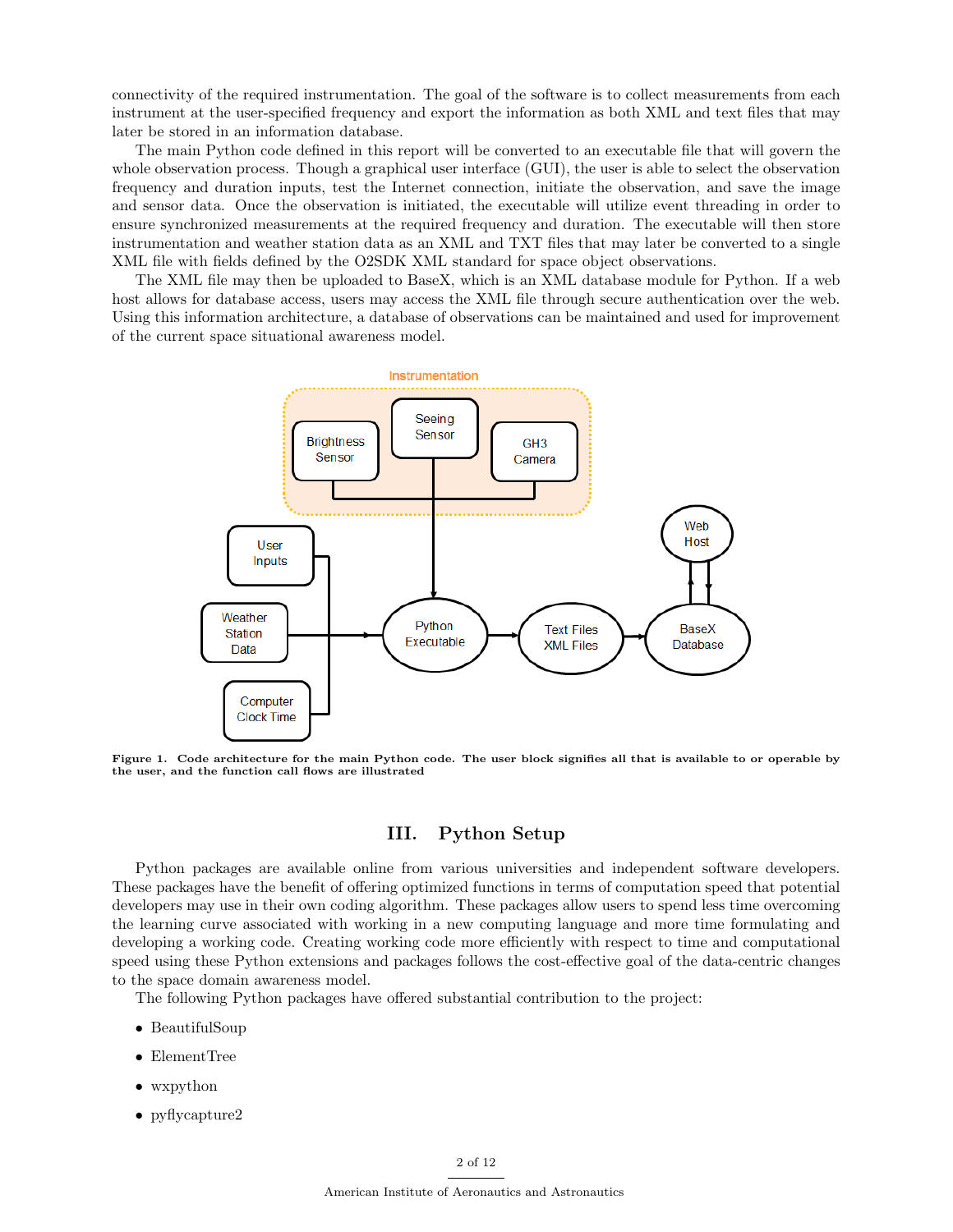connectivity of the required instrumentation. The goal of the software is to collect measurements from each instrument at the user-specified frequency and export the information as both XML and text files that may later be stored in an information database.

The main Python code defined in this report will be converted to an executable file that will govern the whole observation process. Though a graphical user interface (GUI), the user is able to select the observation frequency and duration inputs, test the Internet connection, initiate the observation, and save the image and sensor data. Once the observation is initiated, the executable will utilize event threading in order to ensure synchronized measurements at the required frequency and duration. The executable will then store instrumentation and weather station data as an XML and TXT files that may later be converted to a single XML file with fields defined by the O2SDK XML standard for space object observations.

The XML file may then be uploaded to BaseX, which is an XML database module for Python. If a web host allows for database access, users may access the XML file through secure authentication over the web. Using this information architecture, a database of observations can be maintained and used for improvement of the current space situational awareness model.



Figure 1. Code architecture for the main Python code. The user block signifies all that is available to or operable by the user, and the function call flows are illustrated

## III. Python Setup

Python packages are available online from various universities and independent software developers. These packages have the benefit of offering optimized functions in terms of computation speed that potential developers may use in their own coding algorithm. These packages allow users to spend less time overcoming the learning curve associated with working in a new computing language and more time formulating and developing a working code. Creating working code more efficiently with respect to time and computational speed using these Python extensions and packages follows the cost-effective goal of the data-centric changes to the space domain awareness model.

The following Python packages have offered substantial contribution to the project:

- BeautifulSoup
- ElementTree
- wxpython
- pyflycapture2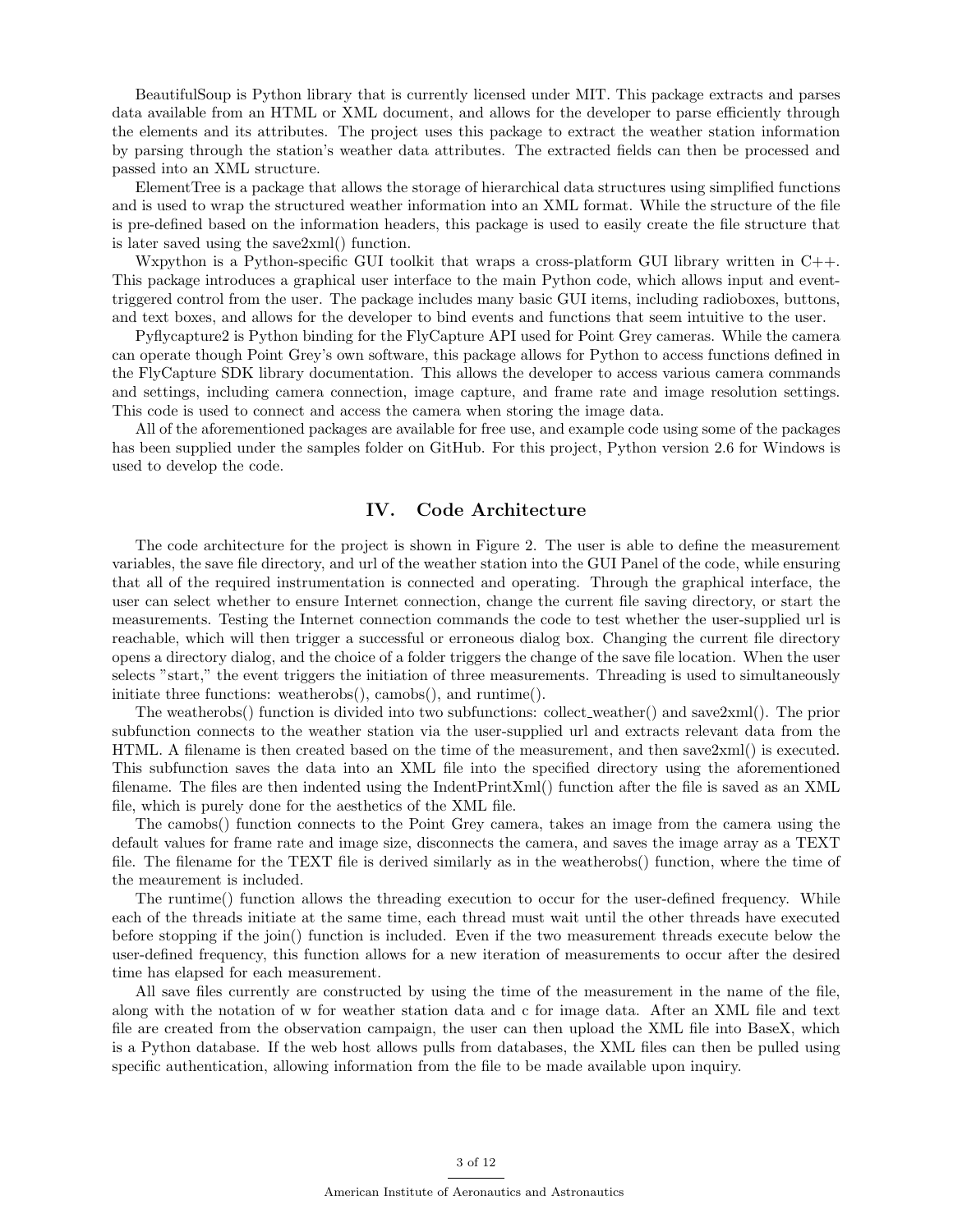BeautifulSoup is Python library that is currently licensed under MIT. This package extracts and parses data available from an HTML or XML document, and allows for the developer to parse efficiently through the elements and its attributes. The project uses this package to extract the weather station information by parsing through the station's weather data attributes. The extracted fields can then be processed and passed into an XML structure.

ElementTree is a package that allows the storage of hierarchical data structures using simplified functions and is used to wrap the structured weather information into an XML format. While the structure of the file is pre-defined based on the information headers, this package is used to easily create the file structure that is later saved using the save2xml() function.

Wxpython is a Python-specific GUI toolkit that wraps a cross-platform GUI library written in C++. This package introduces a graphical user interface to the main Python code, which allows input and eventtriggered control from the user. The package includes many basic GUI items, including radioboxes, buttons, and text boxes, and allows for the developer to bind events and functions that seem intuitive to the user.

Pyflycapture2 is Python binding for the FlyCapture API used for Point Grey cameras. While the camera can operate though Point Grey's own software, this package allows for Python to access functions defined in the FlyCapture SDK library documentation. This allows the developer to access various camera commands and settings, including camera connection, image capture, and frame rate and image resolution settings. This code is used to connect and access the camera when storing the image data.

All of the aforementioned packages are available for free use, and example code using some of the packages has been supplied under the samples folder on GitHub. For this project, Python version 2.6 for Windows is used to develop the code.

#### IV. Code Architecture

The code architecture for the project is shown in Figure 2. The user is able to define the measurement variables, the save file directory, and url of the weather station into the GUI Panel of the code, while ensuring that all of the required instrumentation is connected and operating. Through the graphical interface, the user can select whether to ensure Internet connection, change the current file saving directory, or start the measurements. Testing the Internet connection commands the code to test whether the user-supplied url is reachable, which will then trigger a successful or erroneous dialog box. Changing the current file directory opens a directory dialog, and the choice of a folder triggers the change of the save file location. When the user selects "start," the event triggers the initiation of three measurements. Threading is used to simultaneously initiate three functions: weatherobs(), camobs(), and runtime().

The weatherobs() function is divided into two subfunctions: collect weather() and save2xml(). The prior subfunction connects to the weather station via the user-supplied url and extracts relevant data from the HTML. A filename is then created based on the time of the measurement, and then save2xml() is executed. This subfunction saves the data into an XML file into the specified directory using the aforementioned filename. The files are then indented using the IndentPrintXml() function after the file is saved as an XML file, which is purely done for the aesthetics of the XML file.

The camobs() function connects to the Point Grey camera, takes an image from the camera using the default values for frame rate and image size, disconnects the camera, and saves the image array as a TEXT file. The filename for the TEXT file is derived similarly as in the weatherobs() function, where the time of the meaurement is included.

The runtime() function allows the threading execution to occur for the user-defined frequency. While each of the threads initiate at the same time, each thread must wait until the other threads have executed before stopping if the join() function is included. Even if the two measurement threads execute below the user-defined frequency, this function allows for a new iteration of measurements to occur after the desired time has elapsed for each measurement.

All save files currently are constructed by using the time of the measurement in the name of the file, along with the notation of w for weather station data and c for image data. After an XML file and text file are created from the observation campaign, the user can then upload the XML file into BaseX, which is a Python database. If the web host allows pulls from databases, the XML files can then be pulled using specific authentication, allowing information from the file to be made available upon inquiry.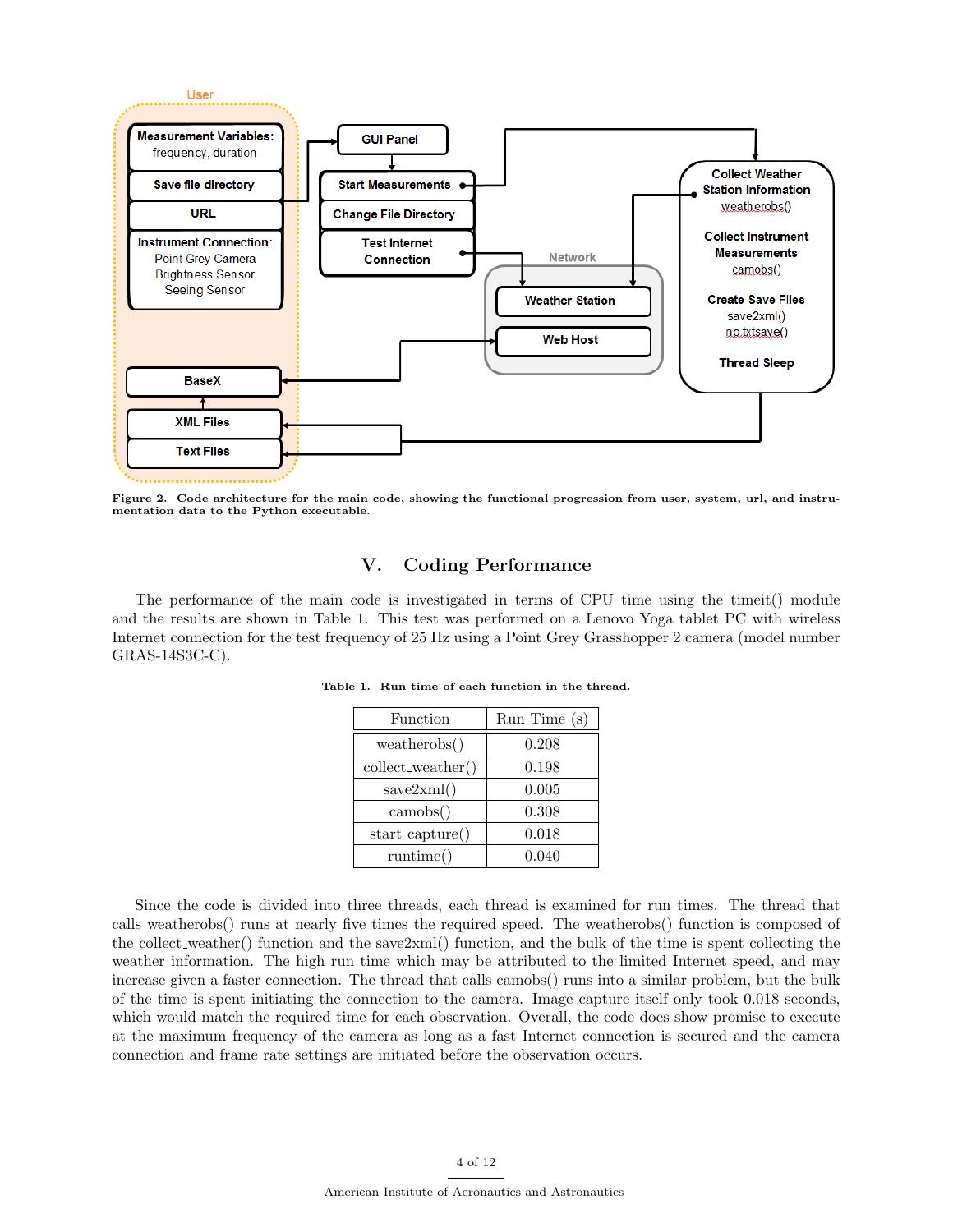

Figure 2. Code architecture for the main code, showing the functional progression from user, system, url, and instrumentation data to the Python executable.

# V. Coding Performance

The performance of the main code is investigated in terms of CPU time using the timeit() module and the results are shown in Table 1. This test was performed on a Lenovo Yoga tablet PC with wireless Internet connection for the test frequency of 25 Hz using a Point Grey Grasshopper 2 camera (model number GRAS-14S3C-C).

| Function            | Run Time(s) |
|---------------------|-------------|
| weatherobs()        | 0.208       |
| collect_weather()   | 0.198       |
| save2xml()          | 0.005       |
| $\text{camobs}()$   | 0.308       |
| $start\_capture()$  | 0.018       |
| $\text{ runtime}()$ | 0.040       |

Table 1. Run time of each function in the thread.

Since the code is divided into three threads, each thread is examined for run times. The thread that calls weatherobs() runs at nearly five times the required speed. The weatherobs() function is composed of the collect weather() function and the save2xml() function, and the bulk of the time is spent collecting the weather information. The high run time which may be attributed to the limited Internet speed, and may increase given a faster connection. The thread that calls camobs() runs into a similar problem, but the bulk of the time is spent initiating the connection to the camera. Image capture itself only took 0.018 seconds, which would match the required time for each observation. Overall, the code does show promise to execute at the maximum frequency of the camera as long as a fast Internet connection is secured and the camera connection and frame rate settings are initiated before the observation occurs.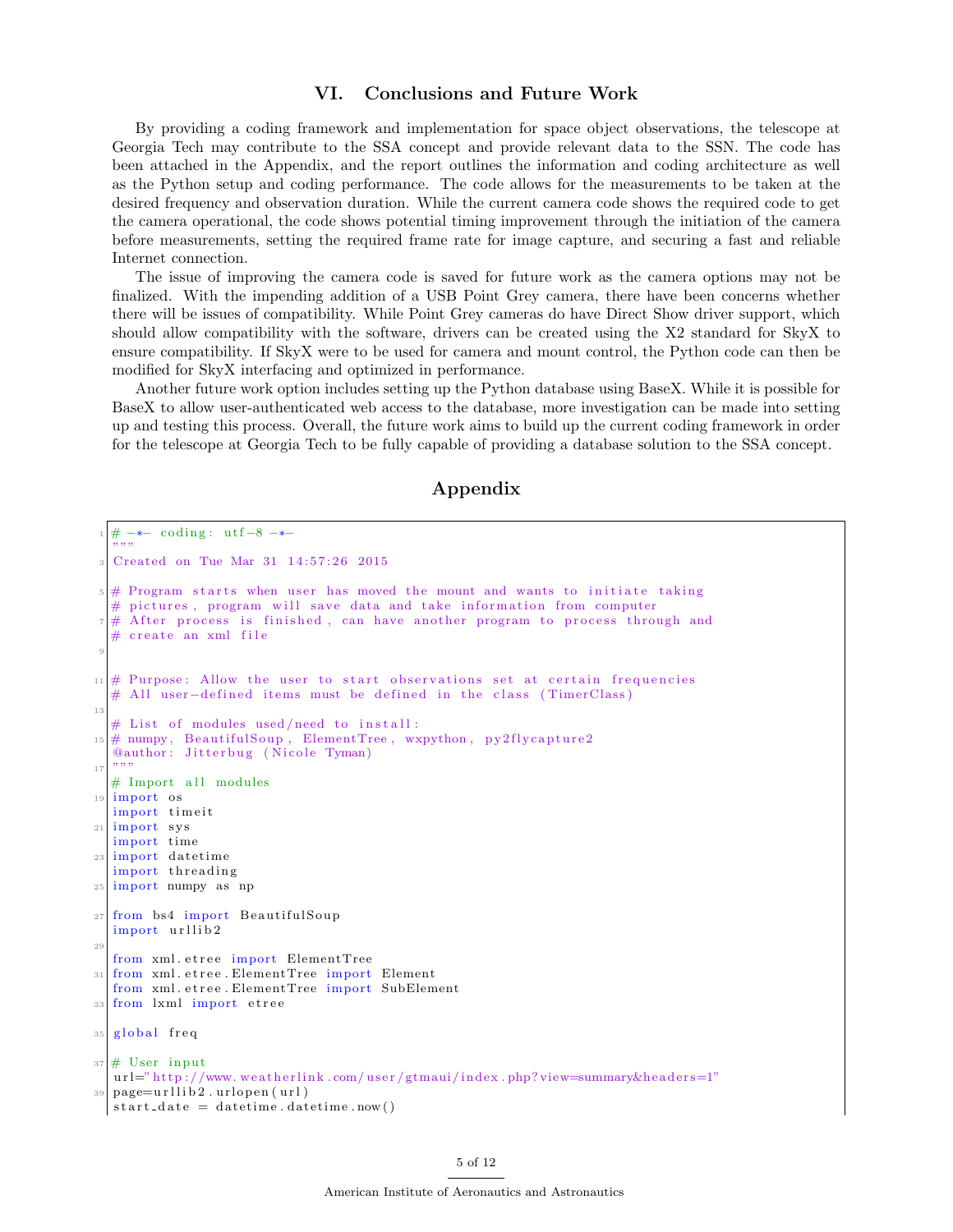# VI. Conclusions and Future Work

By providing a coding framework and implementation for space object observations, the telescope at Georgia Tech may contribute to the SSA concept and provide relevant data to the SSN. The code has been attached in the Appendix, and the report outlines the information and coding architecture as well as the Python setup and coding performance. The code allows for the measurements to be taken at the desired frequency and observation duration. While the current camera code shows the required code to get the camera operational, the code shows potential timing improvement through the initiation of the camera before measurements, setting the required frame rate for image capture, and securing a fast and reliable Internet connection.

The issue of improving the camera code is saved for future work as the camera options may not be finalized. With the impending addition of a USB Point Grey camera, there have been concerns whether there will be issues of compatibility. While Point Grey cameras do have Direct Show driver support, which should allow compatibility with the software, drivers can be created using the X2 standard for SkyX to ensure compatibility. If SkyX were to be used for camera and mount control, the Python code can then be modified for SkyX interfacing and optimized in performance.

Another future work option includes setting up the Python database using BaseX. While it is possible for BaseX to allow user-authenticated web access to the database, more investigation can be made into setting up and testing this process. Overall, the future work aims to build up the current coding framework in order for the telescope at Georgia Tech to be fully capable of providing a database solution to the SSA concept.

## Appendix

```
- coding: utf-8 -∗-
  ""
  Created on Tue Mar 31 14:57:26 2015
  # Program starts when user has moved the mount and wants to initiate taking
  # pictures, program will save data and take information from computer
    A f ter process is finished, can have another program to process through and
  # create an xml file
 9
11 \# Purpose: Allow the user to start observations set at certain frequencies
  # All user-defined items must be defined in the class (TimerClass)
13
  # List of modules used/need to install:
15 \# numpy, BeautifulSoup, ElementTree, wxpython, py2flycapture2
  @author: Jitterbug (Nicole Tyman)
17 """"
  # Import all modules
19 import os
  import timeit
21 import s y s
  import time
23 import datetime
  import threading
25 import numpy as np
27 from bs4 import BeautifulSoup
  import urllib2
29
  from xml. etree import ElementTree
31 from xml. etree. ElementTree import Element
  from xml. etree. ElementTree import SubElement
33 from lxml import etree
35 global freq
37 \# User input
  url=" http://www.weatherlink.com/user/gtmaui/index.php?view=summary&headers=1"
_{39} page=urllib2.urlopen (url)
  start\_date = datetime.data
```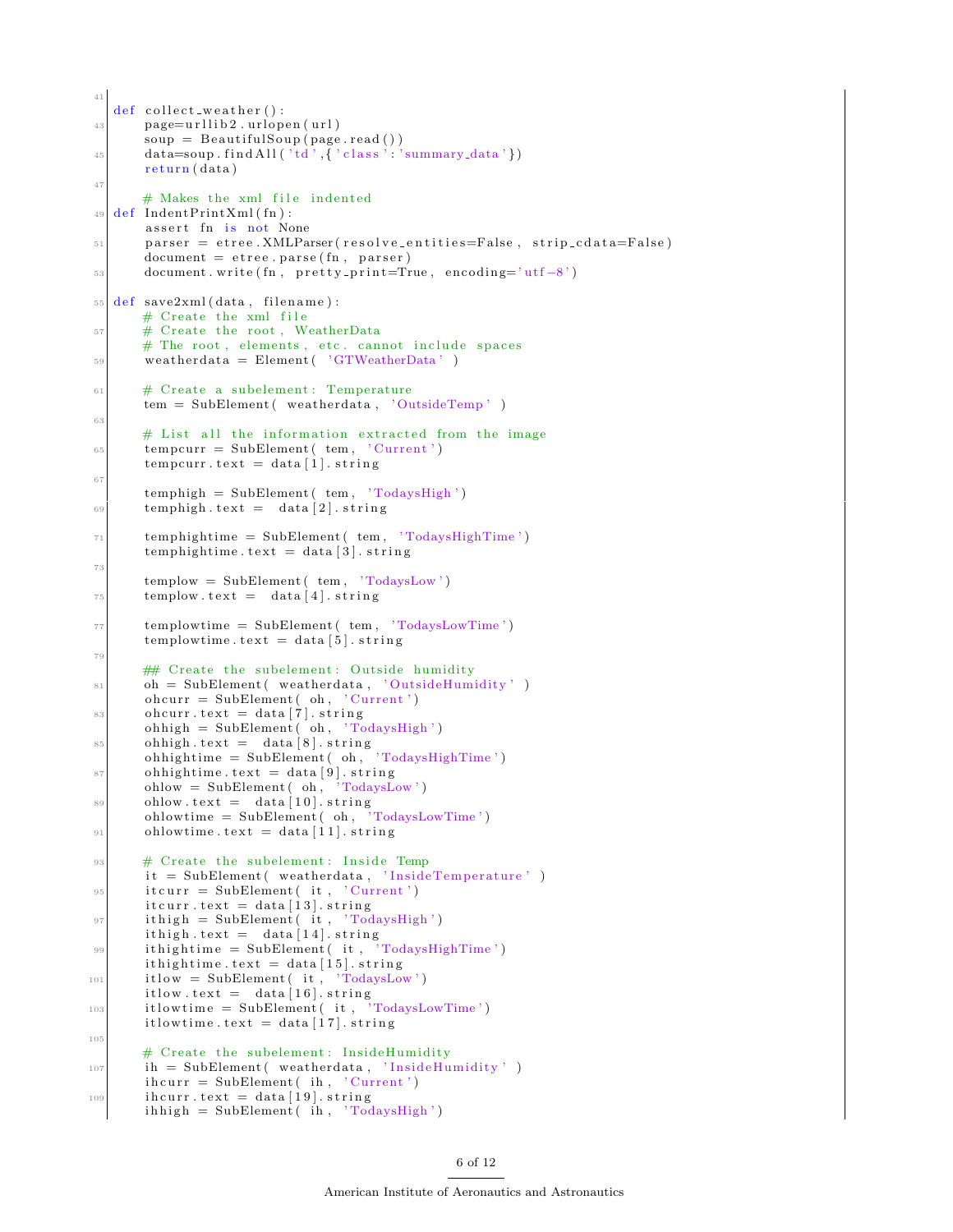```
41
   def collect_weather():
_{43} page=urllib2.urlopen(url)
       soup = BeautifulSoup(page.read())45 data=soup . find All ('td',\{\cdot\;\text{class}\;'\text{...}\;'\text{summary-data}\;)return (data)47
       # Makes the xml file indented
_{49} def IndentPrintXml(fn):
       assert fn is not None
\sigma_{51} parser = etree. XMLParser (resolve-entities=False, strip-cdata=False)
       document = etree.parse(fn, parser)53 document . write (fn, pretty_print=True, encoding='utf-8')
55 def save2xml(data, filename):
       # Create the xml file
57 # Create the root, WeatherData
       # The root, elements, etc. cannot include spaces
\overline{\text{59}} weatherdata = Element ( 'GTWeatherData')
61 # Create a subelement: Temperature
       tem = SubElement ( weatherdata, 'OutsideTemp')
63
       # List all the information extracted from the image
\epsilon_{65} tempcurr = SubElement (tem, 'Current')
       tempcurr.text = data[1].string67
       temphigh = SubElement(tem, 'TodaysHigh')_{69} temphigh . text = data [2] . string
\begin{array}{rcl} \text{[7]} & \text{[temperature]} & \text{[7]} \\ \text{[7]} & \text{[7]} \end{array}temphightime . text = data \lceil 3 \rceil . string
73
       templow = SubElement(tem, 'TodaysLow')\tau_{5} templow text = data [4] string
\vert templowtime = SubElement ( tem, 'TodaysLowTime')
       templowtime . text = data [5]. string
79
       ## Create the subelement: Outside humidity
81 oh = SubElement (weatherdata, 'OutsideHumidity')
       ohcurr = SubElement( oh, 'Current')\begin{array}{c|c} \n\text{softmax} & \text{delta} & \n\end{array}ohhigh = SubElement(oh, 'TodaysHigh')|85| ohhigh . text = data [8] . string
        ohhigh time = SubElement( oh, 'Today8HighTime')|87| ohhightime . text = data [9]. string
       ohlow = SubElement( oh, 'TodaysLow')89 ohlow . text = data [10] . string
       ohlowtime = SubElement( oh, 'TodaysLowTime')91 ohlowtime . \text{text} = \text{data} [11]. string
|93| # Create the subelement: Inside Temp
       it = SubElement( weatherdata, 'InsideTemperature') )95 itcurr = SubElement (it, 'Current')
       it curr.text = data [13].string97 it high = SubElement (it, 'TodaysHigh')
        i thigh . text = data [14] . string
99 ithightime = SubElement( it, 'TodaysHighTime')
       it hightime. text = data [15]. string
_{101} itlow = SubElement (it, 'TodaysLow')
        \text{itlow.text} = \text{data} \left[ 16 \right]. string
_{103} itlowtime = SubElement( it, 'TodaysLowTime')
       itlowtime.text = data [17].string
105
       # Create the subelement: InsideHumidity
_{107} ih = SubElement (weatherdata, 'InsideHumidity')
       \text{ihcurr} = \text{SubElement}(\text{ih}, \text{ 'Current'})_{109} ih curr text = data [19]. string
       ih high = SubElement(ih, 'TodaysHigh')
```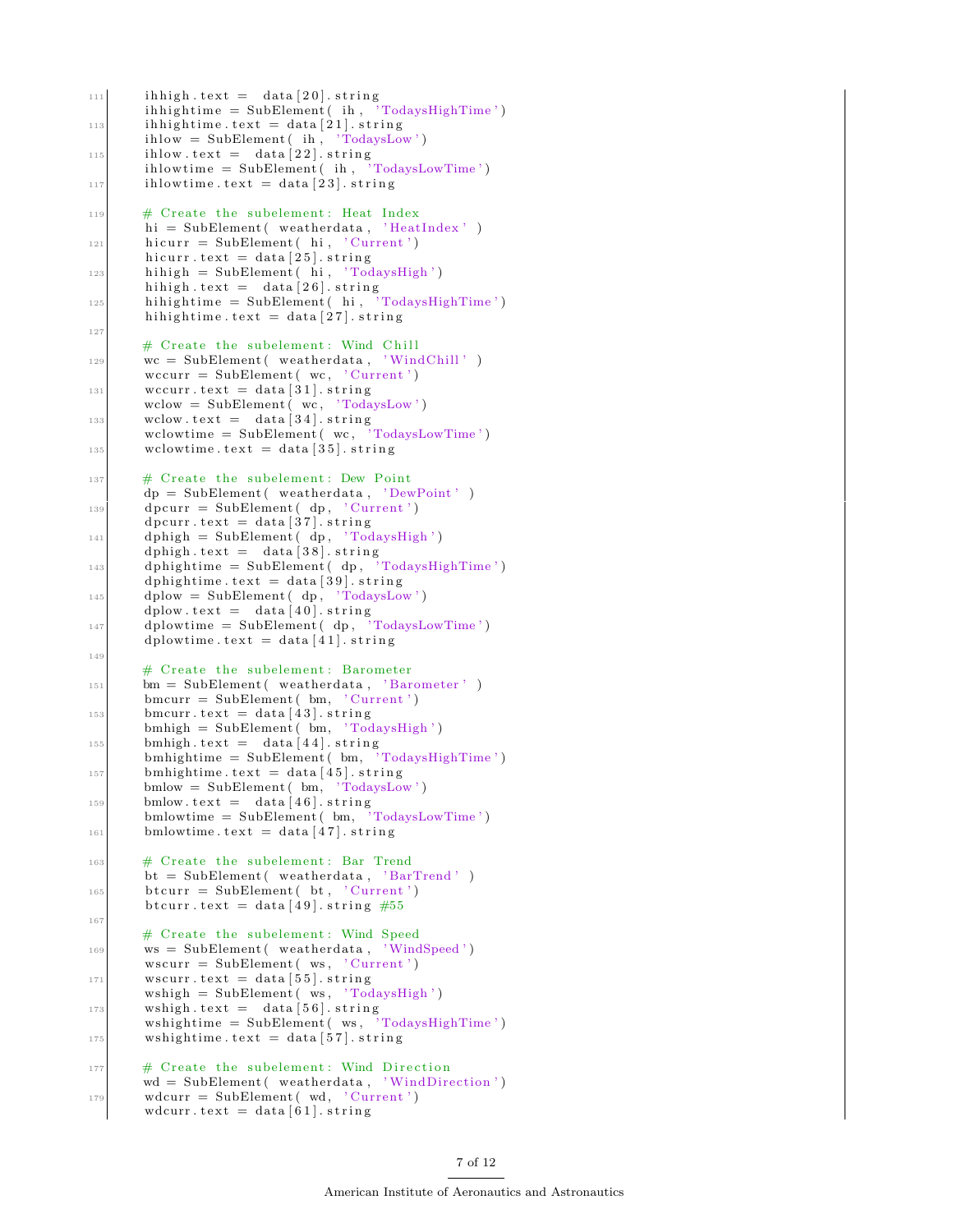```
_{111} ih high . text = data [20]. string
       ih hightime = SubElement (ih, 'TodaysHighTime')
113 ih hightime.text = data [21].string
        ihlow = SubElement(ih, 'TodaysLow')_{115} ihlow . text = data [22] . string
        \text{ihlowtime} = \text{SubElement}(\text{ih}, \text{ 'TodaysLowTime'})_{117} ihlow time. text = data [23]. string
119 # Create the subelement: Heat Index
       hi = SubElement ( weatherdata, 'HeatIndex')
_{121} hicurr = SubElement (hi, 'Current')
       hicurr.text = data [25].string
_{123} hihigh = SubElement (hi, 'TodaysHigh')
        hi high . text = data [26] . string
125 hihightime = SubElement (hi, \overline{C} TodaysHighTime')
       hi hightime. text = data [27]. string
127
       # Create the subelement: Wind Chill
|129| wc = SubElement (weatherdata, 'WindChill')
       wccurr = SubElement(wc, 'Current')131 wccurr . text = data [31]. string
       wclow = SubElement(-wc, 'TodaysLow')133 wclow . \text{text} = \text{data} [34] . string
        wclowtime = SubElement ( wc , 'TodaysLowTime ' )
135 wclowtime . \text{text} = \text{data} [35]. string
_{137} # Create the subelement: Dew Point
       dp = SubElement( weatherdata, ' DewPoint')_{139} dpcurr = SubElement (dp, 'Current')
       \text{d} pcurr \text{. text} = \text{data} \left[ 37 \right] . string
_{141} dphigh = SubElement (dp, 'TodaysHigh')
        dphigh . \text{text} = \text{data} \left[ 38 \right] . string
_{143} dphightime = SubElement (dp, 'TodaysHighTime')
       dphightime. text = data [39] . <math>string</math>_{145} dplow = SubElement (dp, 'TodaysLow')
       dplow \tanctan 40. string
_{147} dplowtime = SubElement (dp, 'TodaysLowTime')
       dplowtime . text = data [41] . string
149
       # Create the subelement: Barometer
151 bm = SubElement (weatherdata, 'Barometer')
       bmcurr = SubElement( bm, 'Current')_{153} bmcurr . text = data [43]. string
       bm{h} = SubElement( bm{m}, 'TodaysHigh')_{155} bmhigh . \text{text} = \text{data} [44] . \text{string}bmhightime = SubElement (bm, 'TodaysHighTime')
_{157} bmhightime . text = data [45]. string
       bmlow = SubElement ( bm, 'TodaysLow ' )
_{159} bmlow . \text{text} = \text{data} [46] . string
       bmlowtime = SubElement (bm{b}, 'TodaysLowTime')
_{161} bmlowtime . text = data [47]. string
163 # Create the subelement: Bar Trend
       bt = SubElement( weatherdata, 'BarTrend')_{165} btcurr = SubElement (bt, 'Current')
       b t curr \tanctan 49. string #55
167
       # Create the subelement: Wind Speed
169 ws = SubElement (weatherdata, 'WindSpeed')
        wscurr = SubElement(ws, 'Current')\text{171} w scurr . text = data [55]. string
        wshiph = SubElement( ws, 'TodaysHigh')\begin{array}{rcl} \text{173} \end{array} wshigh . text = data [56]. string
        wshightime = SubElement ( ws , ' TodaysHighTime ' )
\text{u}^{175} wshightime text = data [57]. string
177 # Create the subelement: Wind Direction
       wd = SubElement ( weatherdata , ' WindDirection ' )
\text{179} wdcurr = SubElement ( wd, 'Current')
       wdcurr . text = data [61] . string
```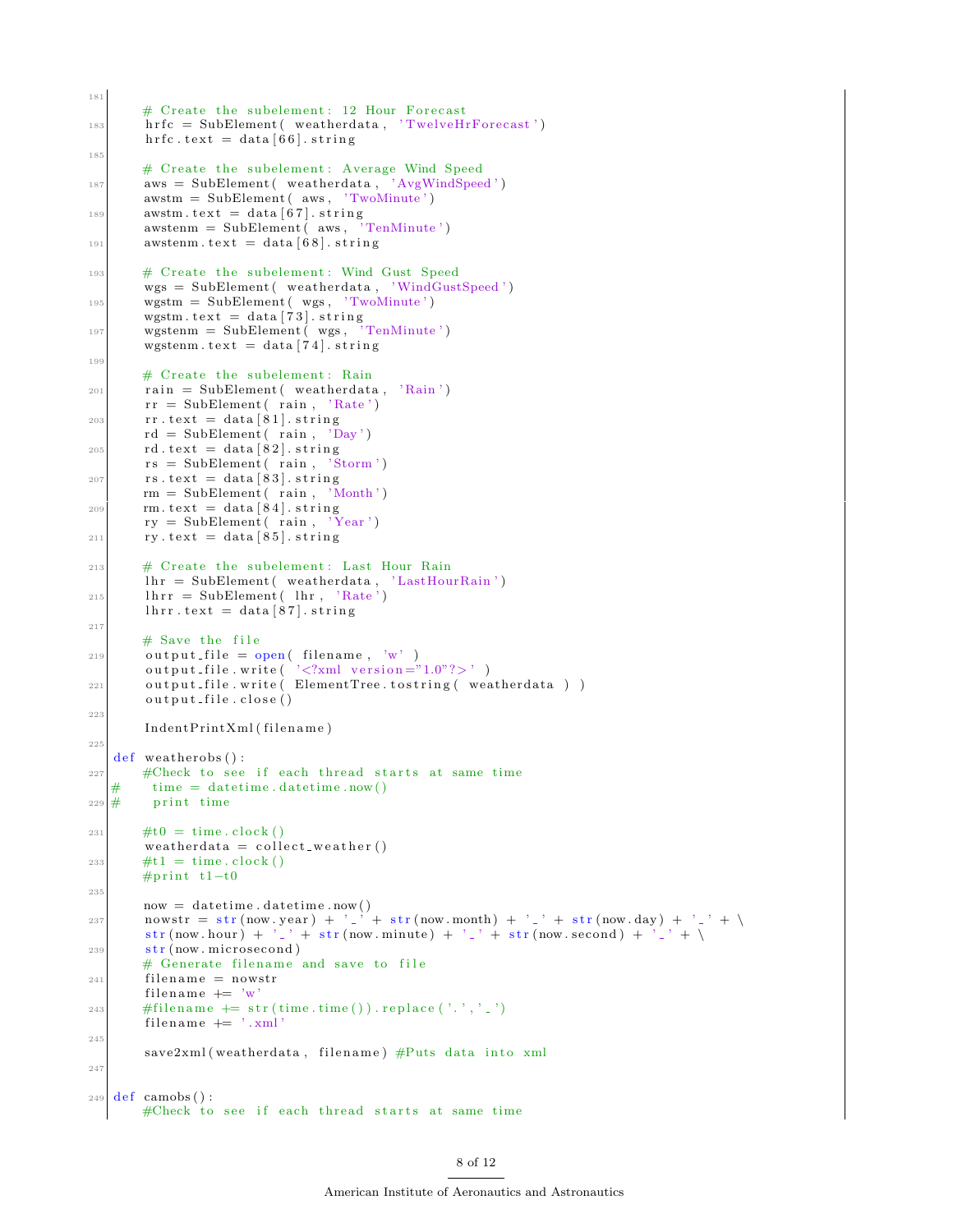```
# Create the subelement: 12 Hour Forecast
183 hrfc = SubElement (weatherdata, 'TwelveHrForecast')
        h r f c . t ext = data [66]. string
185
        # Create the subelement: Average Wind Speed
187 aws = SubElement (weatherdata, 'AvgWindSpeed')
        awstm = SubElement( aws, 'TwoMinute')\begin{array}{lll} \text{await } \text{text} & \text{start} = \text{data} \left[ 67 \right]. \text{ string} \\ \text{awstem } = \text{SubElement} \left( \text{ aws }, \text{ 'TenMinute'} \right) \end{array}awstem = SubElement( aws,
191 awstenm. text = data \begin{bmatrix} 6 & 8 \end{bmatrix}. string
193 # Create the subelement: Wind Gust Speed
        wgs = SubElement( weatherdata, 'WindGustSpeed')195 wgstm = SubElement (wgs, 'TwoMinute')
        wgstm.text = data [73].string
_{197} wgstenm = SubElement (wgs, 'TenMinute')
        wgstenm. text = data [74] . string199
        # Create the subelement: Rain
_{201} rain = SubElement (weatherdata, 'Rain')
        rr = SubElement( rain, 'Rate')203 rr . text = data [81]. string
        rd = SubElement( rain , 'Day')205 rd. text = data [82]. stringrs = SubElement( rain , 'Storm')207 rs.text = data [83].string
        rm = SubElement( rain , 'Month')209 rm . text = data [84]. string
        ry = SubElement( rain , 'Year')211 ry. text = data [85]. string213 # Create the subelement: Last Hour Rain
        \ln r = \text{SubElement}(\text{ weatherdata}, \text{'LastHourRain'})215 lhrr = SubElement (lhr, 'Rate')
        lnrr . \text{text} = data [87]. \text{string}217
        # Save the file
219 output-file = open (filename, 'w')
        output file . write (\cdot '<?xml version ="1.0"?>')
221 output_file.write (ElementTree.tostring (weatherdata))
        output_file.close()
223
        IndentPrintXml(filename)
225
   def weather obs () :
227 #Check to see if each thread starts at same time
   \# time = date time. date time . now ()
229 \# print time
231 #t0 = time.clock ()
        weatherd at a = collect_weather ()
_{233} #t1 = time.clock()
       #print t1-t0235
        now = datetime.data. datetime. now ()
nowstr = str (now . year) + ' \cdot ' + str (now . month) + ' \cdot ' + str (now . day) + ' \cdot ' + \
        str (now . hour) + '_' + str (now . minute) + '_' + str (now . second) + '_' + \
239 \text{ str} (\text{now. microsecond})# Generate filename and save to file
_{241} filename = nowstr
        filename + 'w
243 \leftarrow #filename += str (time.time()).replace('.','.')
        filename += '.xml
245save2xml (weatherdata, filename) #Puts data into xml
247
_{249} def camobs ():
        #Check to see if each thread starts at same time
```
181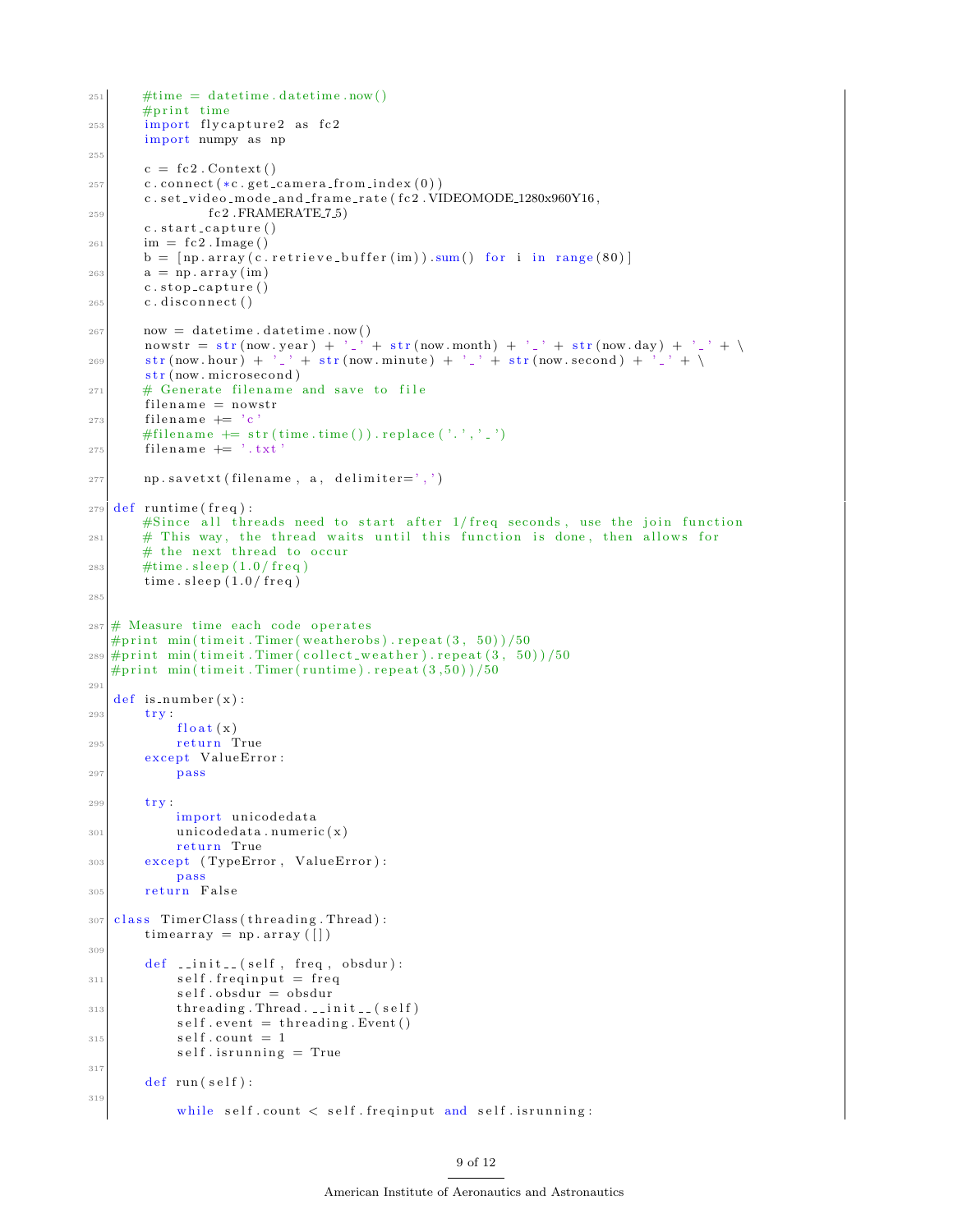```
251 #time = date time. date time. now ()
       #print time
253 import flycapture2 as fc2
       import numpy as np
255c = fc2. Context ()
257 c. connect (*c. get\_camera\_from\_index(0))c. set\_video\_mode\_and\_frame\_rate (fc2. VIDEOMODE\_1280x960Y16,259 fc2 .FRAMERATE_7_5)
       c. start\_capture()_{261} im = fc2. Image ()
       b = [np.array(c.retrieve_buffer(im)) .sum() for i in range(80)]263 a = np. \arctan(\text{im})c. stop\_capture()265 c.disconnect()
267 now = date time . date time . now ()
       nowstr = str (now . year) + \cdot \cdot \cdot + str (now . month) + \cdot \cdot + str (now . day) + \cdot \cdot + \setminus\text{str}(\text{now}, \text{hour}) + \frac{1}{2} + \text{str}(\text{now}, \text{minute}) + \frac{1}{2} + \text{str}(\text{now}, \text{second}) + \frac{1}{2} + \sqrt{\frac{1}{2}}str(now\cdot microsecond)271 # Generate filename and save to file
        filename = nowstr_{273} filename += 'c
       #filename + str (time.time()).replace ('.','.')
275 filename + \rightarrow \cdot \pm x \dot{t}277 np. savetxt (filename, a, delimiter=',')
279 def runtime (freq):
       \#Since all threads need to start after 1/\text{freq} seconds, use the join function
281 # This way, the thread waits until this function is done, then allows for
       # the next thread to occur
283 #time.sleep (1.0/\text{freq})time. sleep (1.0/\text{freq})285
287 \# Measure time each code operates
   #print min(timeit.Timer(weatherobs).repeat(3, 50))/50
289 \text{#print} min (time it. Timer (collect_weather). repeat (3, 50))/50
   #print min (timeit. Timer (runtime). repeat (3,50))/50
291
   def is_number(x):
293 try:
            float(x)295 return True
        except ValueError:
297 pass
299 trv:
            import unicodedata
301 unicoded at a . numeric (x)return True
303 except (TypeError, ValueError):
            p as s
305 return False
307 class TimerClass (threading Thread):
       \text{timearray} = \text{np. array} ([])309
        def \ __init__(self, freq, obsdur):
311 self. freqinput = freq
            self. obsdur = obsdur313 threading. Thread. \text{1} init<sub>--</sub>(self)
            self.event = threading.Event()315 self.count = 1
            self. is running = True317
        def \ run(self):319
            while self.count < self.freqinput and self.isrunning:
```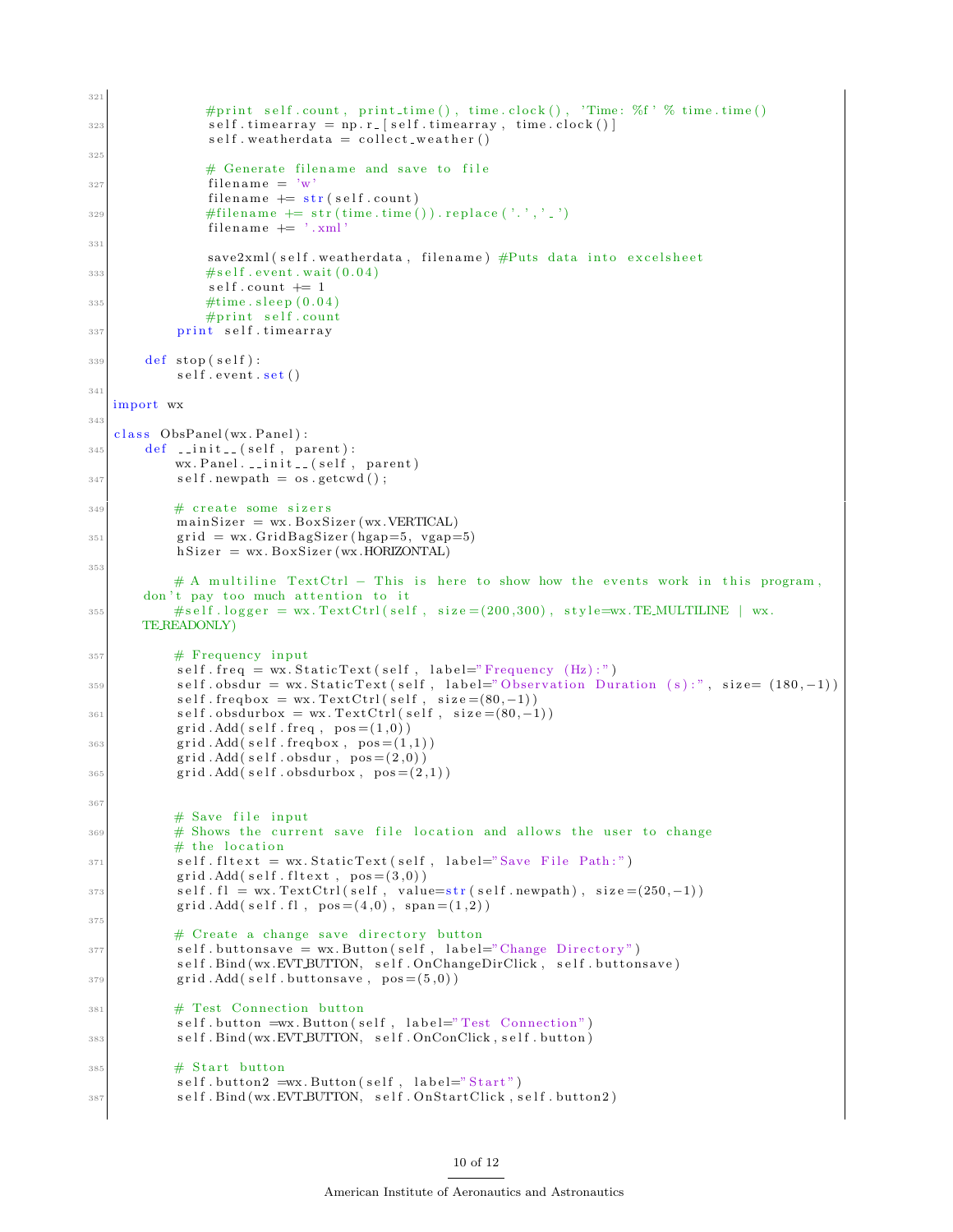```
321
                #print self.count, print_time(), time.clock(), 'Time: %f' % time.time()
\text{self. timestamp} = \text{np.r.} [\text{self. timestamp}, \text{ time. clock()}]self. weather data = collect-week, weather()325# Generate filename and save to file
327 filename = \sqrt[n]{w}filename + \frac{1}{s} str (self.count)
\text{#filename } \text{+=} \text{ str} \left( \text{time} \cdot \text{time} \left( \right) \right) \text{. replace} \left( \begin{array}{c} \cdot & \cdot & \cdot \\ \cdot & \cdot & \cdot \end{array} \right)filename += '.xml'
331
                save2xml (self. weatherdata, filename) #Puts data into excelsheet
\# \text{self. event. wait} (0.04)self.count += 1335 \#time \ . \ sleep \ (0.04)#print self.count
337 print self.timearray
339 def stop(self):
            self.event.set()341
   import wx
343
   class ObsPanel (wx. Panel) :
345 def \text{-init} (self, parent):
            wx. Panel. \ldots in it \ldots (self, parent)
347 self.newpath = os.getcwd();
349 \# create some sizers
            mainSize = wx. BoxSize (wx. VERTICAL)
351 grid = wx. GridBagSizer (hgap=5, vgap=5)
            hSize r = wx.BoxSize r (wx.HORIZONTAL)353
            # A multiline TextCtrl – This is here to show how the events work in this program,
       don't pay too much attention to it
* * self . logger = wx. TextCtrl(self, size = (200,300), style=wx. TEMULTILINE | wx.
       TE READONLY)
357 # Frequency input
            self. freq = wx. StaticText(self, label="Frequency (Hz):")s s s | self.obsdur = wx. Static Text (self, label="Observation Duration (s):", size= (180,-1))
            self. frequency = wx. TextCtrl(self, size = (80, -1))361 self.obsdurbox = wx. TextCtrl(self, size=(80,-1))
            grid. Add(self. freq, pos = (1,0))
_{363} grid . Add(self. freqbox, pos = (1,1))
            grid. Add(self. obsdur, pos = (2,0))
_{365} grid . Add(self.obsdurbox, pos = (2,1))
367
            # Save file input
\frac{369}{4} Shows the current save file location and allows the user to change
            # the location
371 self. fltext = wx. StaticText (self, label="Save File Path:")
            grid. Add(self. fltext, pos = (3,0))
s^{373} self . fl = wx. TextCtrl(self, value=str(self.newpath), size=(250,-1))
            \hbox{grid}.Add( self.fl , pos = (4,0) \, , \; span = (1,2) \, )375
            # Create a change save directory button
\text{self. buttons} \text{submax} = \text{wx. Button}(\text{self.} \text{label=?} \text{Change Directory'})self. Bind (wx.EVT.BUTTON, self. OnChangeDirClick, self. buttonsave)
379 grid . Add (self . buttonsave, pos = (5,0))
381 # Test Connection button
            self. button =wx. Button (self, label="Test Connection")
383 self. Bind (wx. EVT. BUTTON, self. OnConClick, self. button)
385 # Start button
            self. button2 =wx. Button (self, label="Start")
387 self. Bind (wx. EVT BUTTON, self. OnStart Click, self. button2)
```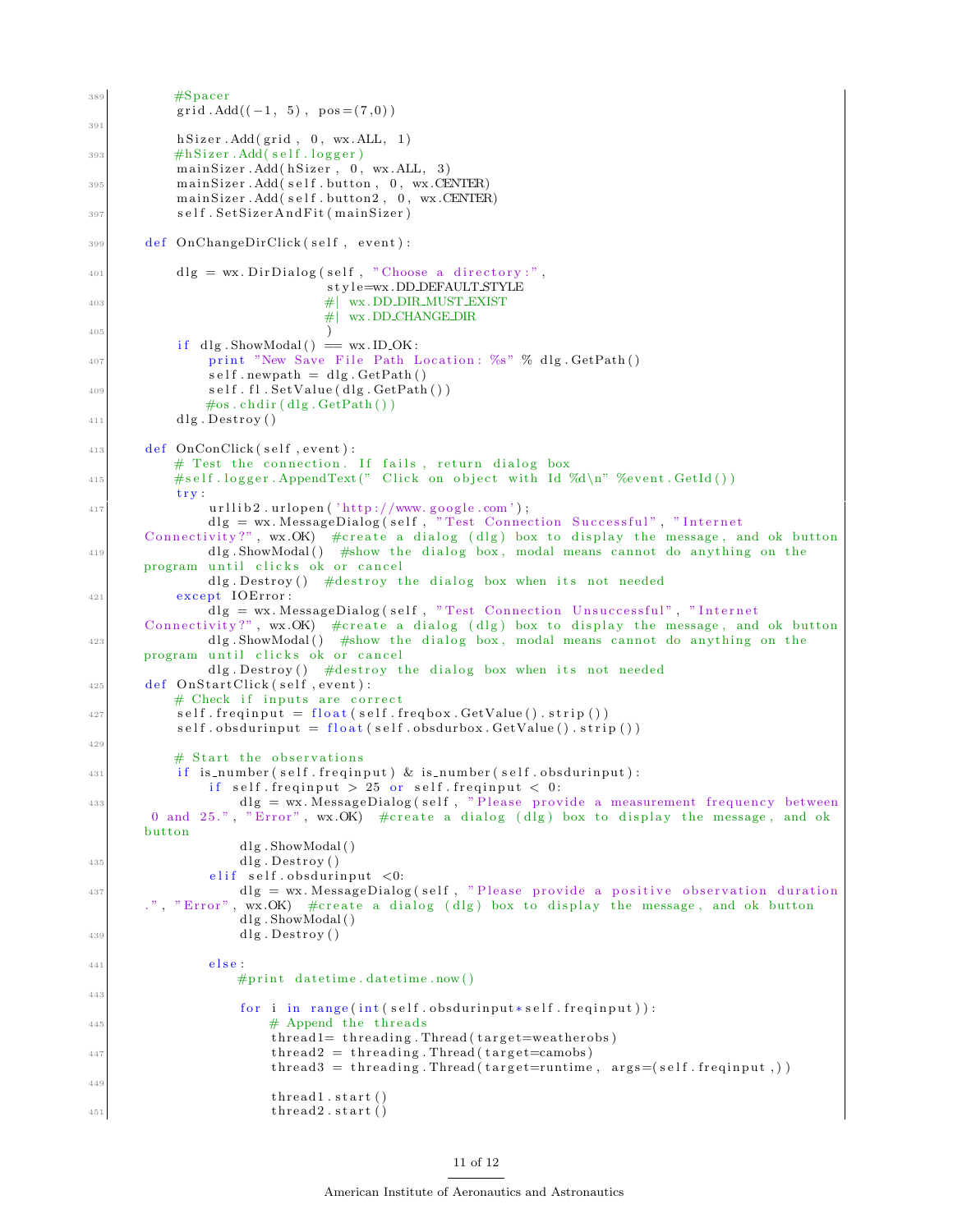```
\frac{4}{389} \frac{4}{389} \frac{4}{389} \frac{1}{389}grid. Add((-1, 5), pos = (7,0))391
           hSizer. Add(grid, 0, wx. ALL, 1)4hSizer. Add(self. logger)
           main Sizer . Add (h Sizer, 0, wx. ALL, 3)
395 mainSizer.Add(self.button, 0, wx.CENTER)
           main Sizer . Add (self. button2, 0, wx. CENTER)
397 self. Set Sizer And Fit (main Sizer)
399 def OnChangeDirClick (self, event):
_{401} dlg = wx. Dir Dialog (self, "Choose a directory:",
                              s t y l e=wx .DD DEFAULT STYLE
403 #| wx . DD DIR MUST EXIST
                              #| wx .DD CHANGE DIR
405 )
           if dlg. ShowModal() = wx. ID_OK:
407 print "New Save File Path Location: %s" % dlg. GetPath ()
               self.newpath = dlg.CetPath()409 self.fl.SetValue(dlg.GetPath())
              \#os. chdir (dlg. GetPath())
_{411} dlg. Destroy ()
413 def OnConClick (self, event):
          # Test the connection. If fails, return dialog box
415 \#self \cdot \text{logger} \cdot \text{AppendText}("Click on object with Id \%d\n' "Newent. GetId())trv:
417 urllib2.urlopen('http://www.google.com');dlg = wx. MessageDialog(self, "Test Connection Successful", "Internet
       Connectivity?", wx.OK) #create a dialog (dlg) box to display the message, and ok button
419 dlg ShowModal () #show the dialog box, modal means cannot do anything on the
      program until clicks ok or cancel
               dlg. Destroy () #destroy the dialog box when its not needed
421 except IOError:
              d\text{lg} = \text{wx}. MessageDialog(self, "Test Connection Unsuccessful", "Internet
      Connectivity?", wx.OK) #create a dialog (dlg) box to display the message, and ok button
423 dlg ShowModal () #show the dialog box, modal means cannot do anything on the
      program until clicks ok or cancel
               dlg. Destroy () \#destroy the dialog box when its not needed
425 def OnStartClick (self, event):
          # Check if inputs are correct
427 self. freqinput = float (self. freqbox. GetValue (). strip ())
           self. obsdur input = float (self. obsdurbox. GetValue().strip())429
          # Start the observations
\frac{1}{431} if is_number(self.freqinput) & is_number(self.obsdurinput):
               if self. freqinput > 25 or self. freqinput < 0:
\text{dlg} = \text{wx}. MessageDialog(self, "Please provide a measurement frequency between
       0 and 25.", "Error", wx.OK) \# \text{create a dialog (dlg) box to display the message, and ok }button
                   dlg.ShowModal()
_{435} dlg . Destroy ()
               elif self. obsdur input <0:
\text{d} \text{d} \text{d} \text{d} \text{d} \text{d} \text{e} = \text{wx}. MessageDialog(self, "Please provide a positive observation duration
       .", "Error", wx.OK) #create a dialog (dlg) box to display the message, and ok button
                   dlg. ShowModal ()
_{439} dlg. Destroy ()
441 e l s e :
                  #print date time. date time. now ()
443
                   for i in range (int (self. obs during ut*self. freqinput)):
\# Append the threads
                       thread1=threading. Thread(target=weatherobs){\rm thread 2 \ = \ threading\ . \ Thread(\ target = camobs)}thread3 = threading. Thread(target= runtime, args=(self. freqinput, ))449
                       thread1.start()\text{thread2.start}()
```